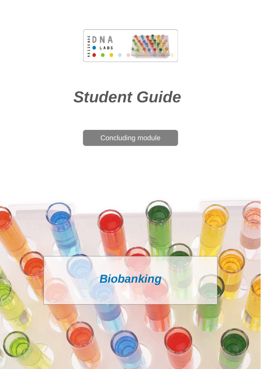

# *Student Guide*

Concluding module

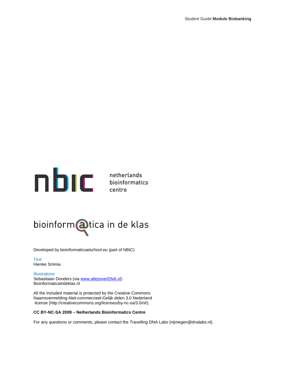

centre

## bioinform@tica in de klas

Developed by bioinformaticsatschool.eu (part of NBIC)

**Text** Hienke Sminia

**Illustrations** Sebastiaan Donders (via [www.allesoverDNA.nl\)](http://www.allesoverdna.nl/) Bioinformaticaindeklas.nl

All the included material is protected by the Creative Commons Naamsvermelding-Niet-commercieel-Gelijk delen 3.0 Nederland license (http://creativecommons.org/licenses/by-nc-sa/3.0/nl/).

#### **CC BY-NC-SA 2009 – Netherlands Bioinformatics Centre**

For any questions or comments, please contact the Travelling DNA Labs (nijmegen@dnalabs.nl).